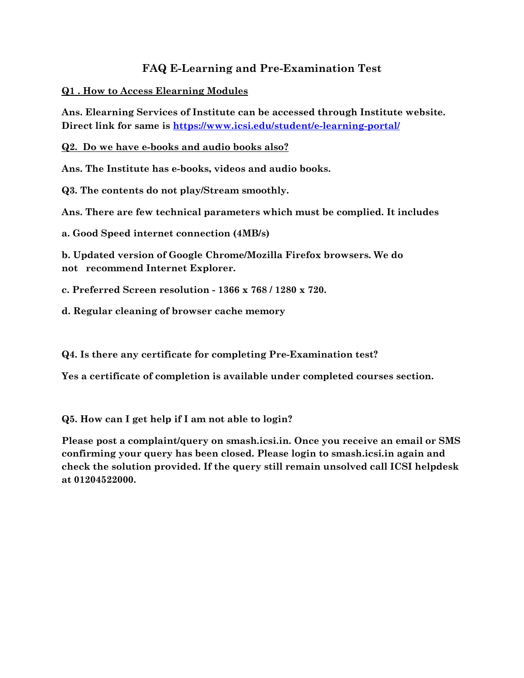### **FAQ E-Learning and Pre-Examination Test**

#### **Q1 . How to Access Elearning Modules**

**Ans. Elearning Services of Institute can be accessed through Institute website. Direct link for same is<https://www.icsi.edu/student/e-learning-portal/>**

**Q2. Do we have e-books and audio books also?**

**Ans. The Institute has e-books, videos and audio books.**

**Q3. The contents do not play/Stream smoothly.**

**Ans. There are few technical parameters which must be complied. It includes**

**a. Good Speed internet connection (4MB/s)**

**b. Updated version of Google Chrome/Mozilla Firefox browsers. We do not recommend Internet Explorer.**

**c. Preferred Screen resolution - 1366 x 768 / 1280 x 720.**

**d. Regular cleaning of browser cache memory**

**Q4. Is there any certificate for completing Pre-Examination test?**

**Yes a certificate of completion is available under completed courses section.**

**Q5. How can I get help if I am not able to login?**

**Please post a complaint/query on smash.icsi.in. Once you receive an email or SMS confirming your query has been closed. Please login to smash.icsi.in again and check the solution provided. If the query still remain unsolved call ICSI helpdesk at 01204522000.**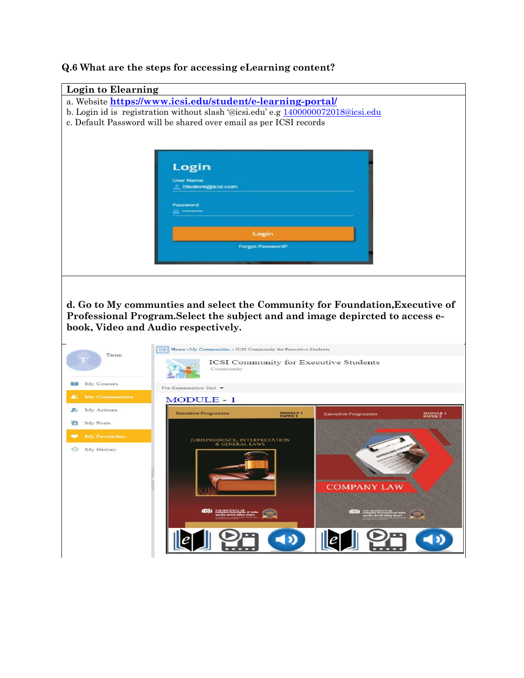# **Login to Elearning**  a. Website **<https://www.icsi.edu/student/e-learning-portal/>** b. Login id is registration without slash '@icsi.edu' e.g [1400000072018@icsi.edu](mailto:1400000072018@icsi.edu) c. Default Password will be shared over email as per ICSI records Login User Name Student@icsi.com ord **d. Go to My communties and select the Community for Foundation,Executive of Professional Program.Select the subject and and image depircted to access ebook, Video and Audio respectively.**Tarun ICSI Community for Executive Students Community **My Courses** Pre-Examination Test  $\blacktriangleright$ **JR MODULE - 1** 2. My Actions **Executive Programme** MODULE 1 MODULE 1<br>PAPER 2 My Posts **JURISPRUDENCE, INTERPRETATION**<br>& GENERAL LAWS **3** My History **COMPANY LAW**  $\left( 0 \right)$  $\mathbb{E}$

#### **Q.6 What are the steps for accessing eLearning content?**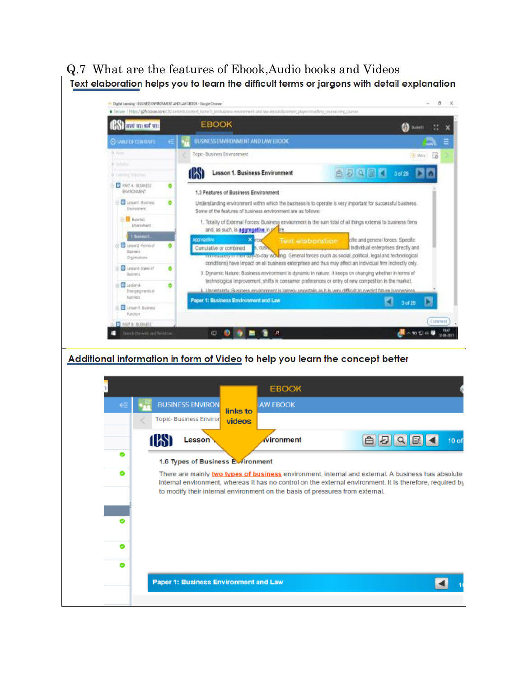## Q.7 What are the features of Ebook,Audio books and VideosText elaboration helps you to learn the difficult terms or jargons with detail explanation



#### Additional information in form of Video to help you learn the concept better

|   |                                       | <b>EBOOK</b>                                                                                                                                                                                                                                                                                     |      |                   |
|---|---------------------------------------|--------------------------------------------------------------------------------------------------------------------------------------------------------------------------------------------------------------------------------------------------------------------------------------------------|------|-------------------|
|   | <b>BUSINESS ENVIRON</b>               | <b>AW EBOOK</b><br>links to                                                                                                                                                                                                                                                                      |      |                   |
|   | Topic- Business Enviror               | videos                                                                                                                                                                                                                                                                                           |      |                   |
|   | Lesson                                | <b>Nironment</b>                                                                                                                                                                                                                                                                                 | 白日日日 | 10 <sub>o</sub> f |
| ۰ | 1.6 Types of Business Ewironment      |                                                                                                                                                                                                                                                                                                  |      |                   |
| ۰ |                                       | There are mainly two types of business environment, internal and external. A business has absolute<br>internal environment, whereas it has no control on the external environment. It is therefore, required by<br>to modify their internal environment on the basis of pressures from external. |      |                   |
|   |                                       |                                                                                                                                                                                                                                                                                                  |      |                   |
| o |                                       |                                                                                                                                                                                                                                                                                                  |      |                   |
| o |                                       |                                                                                                                                                                                                                                                                                                  |      |                   |
|   | Paper 1: Business Environment and Law |                                                                                                                                                                                                                                                                                                  |      |                   |
|   |                                       |                                                                                                                                                                                                                                                                                                  |      |                   |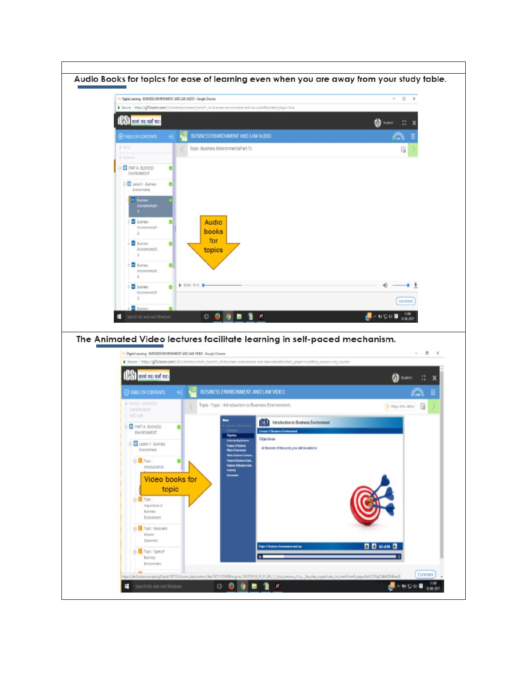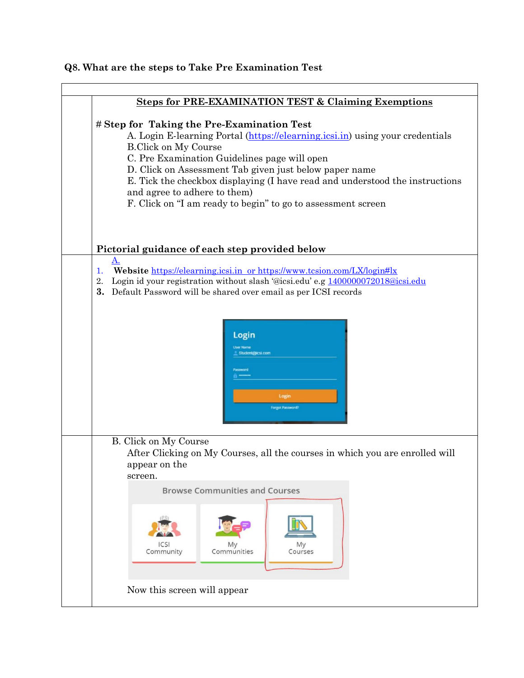#### **Q8. What are the steps to Take Pre Examination Test**

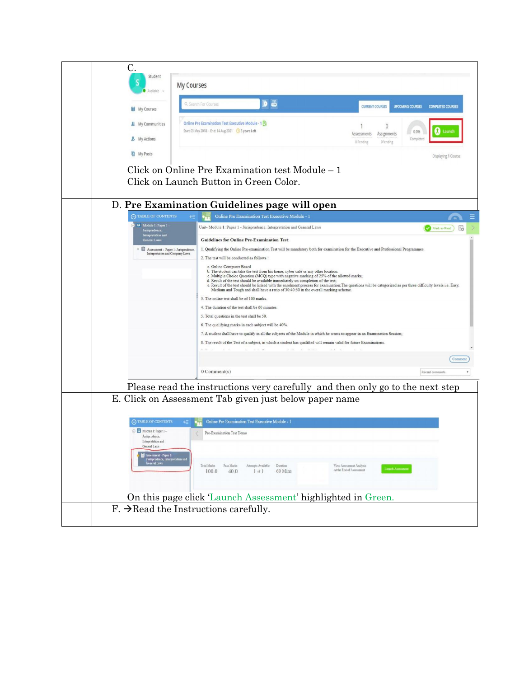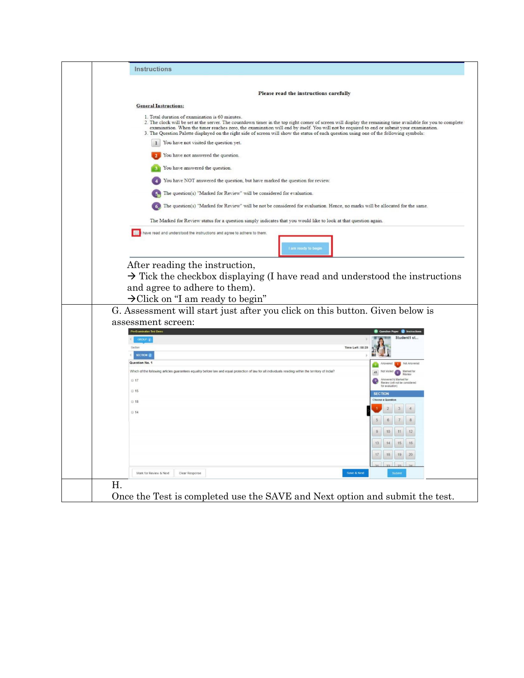| Please read the instructions carefully                                                                                                                                                                                                                                                                                                                      |                                                         |
|-------------------------------------------------------------------------------------------------------------------------------------------------------------------------------------------------------------------------------------------------------------------------------------------------------------------------------------------------------------|---------------------------------------------------------|
| <b>General Instructions:</b>                                                                                                                                                                                                                                                                                                                                |                                                         |
| 1. Total duration of examination is 60 minutes.<br>2. The clock will be set at the server. The countdown timer in the top right corner of screen will display the remaining time available for you to complete<br>examination. When the timer reaches zero, the examination will end by itself. You will not be required to end or submit your examination. |                                                         |
| 3. The Question Palette displayed on the right side of screen will show the status of each question using one of the following symbols:<br>You have not visited the question yet.<br>$\mathbf{1}$                                                                                                                                                           |                                                         |
|                                                                                                                                                                                                                                                                                                                                                             |                                                         |
| You have not answered the question.                                                                                                                                                                                                                                                                                                                         |                                                         |
| You have answered the question.                                                                                                                                                                                                                                                                                                                             |                                                         |
| You have NOT answered the question, but have marked the question for review.                                                                                                                                                                                                                                                                                |                                                         |
| The question(s) "Marked for Review" will be considered for evaluation.                                                                                                                                                                                                                                                                                      |                                                         |
| The question(s) "Marked for Review" will be not be considered for evaluation. Hence, no marks will be allocated for the same.                                                                                                                                                                                                                               |                                                         |
| The Marked for Review status for a question simply indicates that you would like to look at that question again.                                                                                                                                                                                                                                            |                                                         |
| have read and understood the instructions and agree to adhere to them.                                                                                                                                                                                                                                                                                      |                                                         |
| am ready to begi                                                                                                                                                                                                                                                                                                                                            |                                                         |
|                                                                                                                                                                                                                                                                                                                                                             |                                                         |
| After reading the instruction,                                                                                                                                                                                                                                                                                                                              |                                                         |
|                                                                                                                                                                                                                                                                                                                                                             |                                                         |
|                                                                                                                                                                                                                                                                                                                                                             |                                                         |
|                                                                                                                                                                                                                                                                                                                                                             |                                                         |
| $\rightarrow$ Tick the checkbox displaying (I have read and understood the instructions                                                                                                                                                                                                                                                                     |                                                         |
| and agree to adhere to them).                                                                                                                                                                                                                                                                                                                               |                                                         |
|                                                                                                                                                                                                                                                                                                                                                             |                                                         |
| $\rightarrow$ Click on "I am ready to begin"                                                                                                                                                                                                                                                                                                                |                                                         |
| G. Assessment will start just after you click on this button. Given below is                                                                                                                                                                                                                                                                                |                                                         |
|                                                                                                                                                                                                                                                                                                                                                             |                                                         |
|                                                                                                                                                                                                                                                                                                                                                             | $\bullet$ ins                                           |
| assessment screen:<br>GROUP $t$                                                                                                                                                                                                                                                                                                                             | Student1 st.                                            |
| Section                                                                                                                                                                                                                                                                                                                                                     | Time Left: 58:29                                        |
|                                                                                                                                                                                                                                                                                                                                                             |                                                         |
| SECTION 1                                                                                                                                                                                                                                                                                                                                                   |                                                         |
| Question No. 1                                                                                                                                                                                                                                                                                                                                              | Not Answere                                             |
| Which of the following articles guarantees equality before law and equal protection of law for all individuals residing within the territory of India?                                                                                                                                                                                                      | Marked for<br>Review<br>49<br>$\bullet$                 |
| ◎ 17                                                                                                                                                                                                                                                                                                                                                        |                                                         |
|                                                                                                                                                                                                                                                                                                                                                             | inswered & Marked for<br>teview (will not be considered |
| ◎ 15                                                                                                                                                                                                                                                                                                                                                        |                                                         |
| ◎ 18                                                                                                                                                                                                                                                                                                                                                        |                                                         |
| ◎ 14                                                                                                                                                                                                                                                                                                                                                        |                                                         |
|                                                                                                                                                                                                                                                                                                                                                             |                                                         |
|                                                                                                                                                                                                                                                                                                                                                             |                                                         |
|                                                                                                                                                                                                                                                                                                                                                             |                                                         |
|                                                                                                                                                                                                                                                                                                                                                             | 13<br>14<br>15                                          |
|                                                                                                                                                                                                                                                                                                                                                             |                                                         |
|                                                                                                                                                                                                                                                                                                                                                             | 17<br>18<br>19<br>20                                    |
|                                                                                                                                                                                                                                                                                                                                                             |                                                         |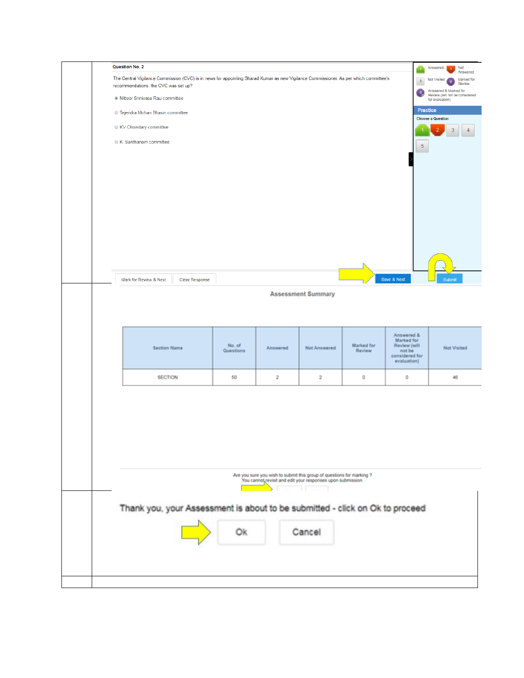|  | Question No. 2                                                                                                                                                                                                     |                        |                     |          |                         |                           |                                      |             |                                                                                                                                                                                                 | Answered<br>Not |  |
|--|--------------------------------------------------------------------------------------------------------------------------------------------------------------------------------------------------------------------|------------------------|---------------------|----------|-------------------------|---------------------------|--------------------------------------|-------------|-------------------------------------------------------------------------------------------------------------------------------------------------------------------------------------------------|-----------------|--|
|  | The Central Vigilance Commission (CVC) is in news for appointing Sharad Kumar as new Vigilance Commissioner. As per which committee's<br>recommendations, the CVC was set up?<br>C Nittoor Srinivasa Rau committee |                        |                     |          |                         |                           |                                      |             | л,<br>Answered<br>Marked for<br><b>Not Visited</b><br>$\overline{\mathbf{3}}$<br>$\sqrt{2}$<br>Review<br>Answered 8. Marked for<br>$\circ$<br>Review (will not be considered<br>for evaluation) |                 |  |
|  |                                                                                                                                                                                                                    |                        |                     |          |                         |                           |                                      |             |                                                                                                                                                                                                 |                 |  |
|  | Tejendra Mohan Bhasin committee                                                                                                                                                                                    |                        |                     |          |                         |                           |                                      |             | Practice<br><b>Choose a Question</b>                                                                                                                                                            |                 |  |
|  |                                                                                                                                                                                                                    | KV Chowdary committee  |                     |          |                         |                           |                                      |             |                                                                                                                                                                                                 | $\overline{2}$  |  |
|  |                                                                                                                                                                                                                    | K. Santhanam committee |                     |          |                         |                           |                                      |             | $\overline{5}$                                                                                                                                                                                  |                 |  |
|  |                                                                                                                                                                                                                    |                        |                     |          |                         |                           |                                      |             |                                                                                                                                                                                                 |                 |  |
|  |                                                                                                                                                                                                                    |                        |                     |          |                         |                           |                                      |             |                                                                                                                                                                                                 |                 |  |
|  |                                                                                                                                                                                                                    |                        |                     |          |                         |                           |                                      |             |                                                                                                                                                                                                 |                 |  |
|  |                                                                                                                                                                                                                    |                        |                     |          |                         |                           |                                      |             |                                                                                                                                                                                                 |                 |  |
|  |                                                                                                                                                                                                                    |                        |                     |          |                         |                           |                                      |             |                                                                                                                                                                                                 |                 |  |
|  |                                                                                                                                                                                                                    |                        |                     |          |                         |                           |                                      |             |                                                                                                                                                                                                 |                 |  |
|  |                                                                                                                                                                                                                    |                        |                     |          |                         |                           |                                      |             |                                                                                                                                                                                                 |                 |  |
|  |                                                                                                                                                                                                                    |                        |                     |          |                         |                           |                                      |             |                                                                                                                                                                                                 |                 |  |
|  |                                                                                                                                                                                                                    |                        |                     |          |                         |                           |                                      | Save & Next |                                                                                                                                                                                                 | Submit          |  |
|  |                                                                                                                                                                                                                    | Mark for Review & Next | Clear Response      |          |                         |                           |                                      |             |                                                                                                                                                                                                 |                 |  |
|  |                                                                                                                                                                                                                    |                        |                     |          |                         | <b>Assessment Summary</b> |                                      |             |                                                                                                                                                                                                 |                 |  |
|  |                                                                                                                                                                                                                    |                        |                     |          |                         |                           |                                      |             |                                                                                                                                                                                                 |                 |  |
|  |                                                                                                                                                                                                                    |                        |                     |          |                         |                           |                                      | Answered &  |                                                                                                                                                                                                 |                 |  |
|  | <b>Section Name</b>                                                                                                                                                                                                |                        | No. of<br>Questions | Answered | Not Answered            | Marked for<br>Review      | Marked for<br>Review (will<br>not be |             | Not Visited                                                                                                                                                                                     |                 |  |
|  |                                                                                                                                                                                                                    |                        |                     |          |                         |                           | considered for<br>evaluation)        |             |                                                                                                                                                                                                 |                 |  |
|  |                                                                                                                                                                                                                    | <b>SECTION</b>         |                     | 50       | $\overline{\mathbf{2}}$ | $\overline{2}$            | 0                                    | 0           |                                                                                                                                                                                                 | 46              |  |
|  |                                                                                                                                                                                                                    |                        |                     |          |                         |                           |                                      |             |                                                                                                                                                                                                 |                 |  |
|  |                                                                                                                                                                                                                    |                        |                     |          |                         |                           |                                      |             |                                                                                                                                                                                                 |                 |  |
|  |                                                                                                                                                                                                                    |                        |                     |          |                         |                           |                                      |             |                                                                                                                                                                                                 |                 |  |
|  |                                                                                                                                                                                                                    |                        |                     |          |                         |                           |                                      |             |                                                                                                                                                                                                 |                 |  |
|  |                                                                                                                                                                                                                    |                        |                     |          |                         |                           |                                      |             |                                                                                                                                                                                                 |                 |  |
|  | Are you sure you wish to submit this group of questions for marking ?<br>You cannot revisit and edit your responses upon submission.                                                                               |                        |                     |          |                         |                           |                                      |             |                                                                                                                                                                                                 |                 |  |
|  |                                                                                                                                                                                                                    |                        |                     |          |                         |                           |                                      |             |                                                                                                                                                                                                 |                 |  |
|  |                                                                                                                                                                                                                    |                        |                     |          |                         |                           |                                      |             |                                                                                                                                                                                                 |                 |  |
|  | Thank you, your Assessment is about to be submitted - click on Ok to proceed                                                                                                                                       |                        |                     |          |                         |                           |                                      |             |                                                                                                                                                                                                 |                 |  |
|  |                                                                                                                                                                                                                    |                        |                     |          |                         |                           |                                      |             |                                                                                                                                                                                                 |                 |  |
|  |                                                                                                                                                                                                                    |                        |                     | Ōk       |                         | Cancel                    |                                      |             |                                                                                                                                                                                                 |                 |  |
|  |                                                                                                                                                                                                                    |                        |                     |          |                         |                           |                                      |             |                                                                                                                                                                                                 |                 |  |
|  |                                                                                                                                                                                                                    |                        |                     |          |                         |                           |                                      |             |                                                                                                                                                                                                 |                 |  |
|  |                                                                                                                                                                                                                    |                        |                     |          |                         |                           |                                      |             |                                                                                                                                                                                                 |                 |  |